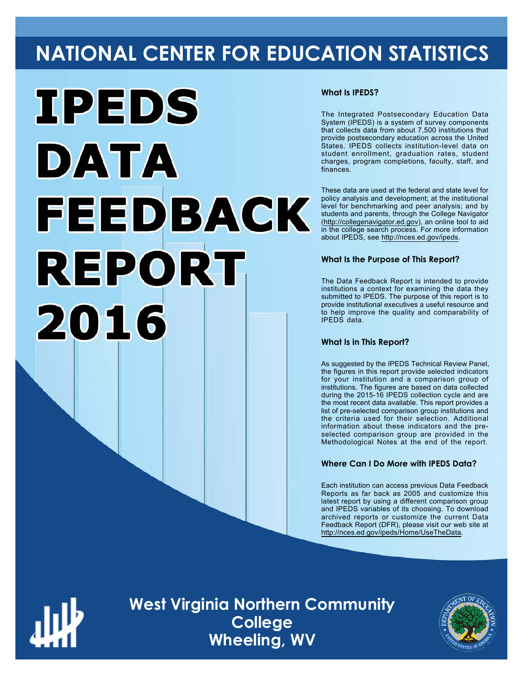# **NATIONAL CENTER FOR EDUCATION STATISTICS**



## **What Is IPEDS?**

The Integrated Postsecondary Education Data System (IPEDS) is a system of survey components that collects data from about 7,500 institutions that provide postsecondary education across the United States. IPEDS collects institution-level data on student enrollment, graduation rates, student charges, program completions, faculty, staff, and finances.

These data are used at the federal and state level for policy analysis and development; at the institutional level for benchmarking and peer analysis; and by students and parents, through the College Navigator ([http://collegenavigator.ed.gov\)](http://collegenavigator.ed.gov), an online tool to aid in the college search process. For more information about IPEDS, see [http://nces.ed.gov/ipeds.](http://nces.ed.gov/ipeds)

## **What Is the Purpose of This Report?**

The Data Feedback Report is intended to provide institutions a context for examining the data they submitted to IPEDS. The purpose of this report is to provide institutional executives a useful resource and to help improve the quality and comparability of IPEDS data.

## **What Is in This Report?**

As suggested by the IPEDS Technical Review Panel, the figures in this report provide selected indicators for your institution and a comparison group of institutions. The figures are based on data collected during the 2015-16 IPEDS collection cycle and are the most recent data available. This report provides a list of pre-selected comparison group institutions and the criteria used for their selection. Additional information about these indicators and the preselected comparison group are provided in the Methodological Notes at the end of the report.

## **Where Can I Do More with IPEDS Data?**

Each institution can access previous Data Feedback Reports as far back as 2005 and customize this latest report by using a different comparison group and IPEDS variables of its choosing. To download archived reports or customize the current Data Feedback Report (DFR), please visit our web site at [http://nces.ed.gov/ipeds/Home/UseTheData.](http://nces.ed.gov/ipeds/Home/UseTheData)



**West Virginia Northern Community College Wheeling, WV**

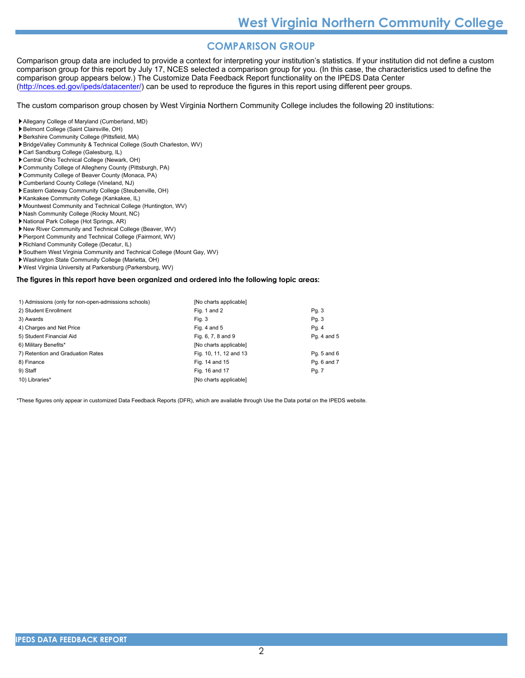## **COMPARISON GROUP**

Comparison group data are included to provide a context for interpreting your institution's statistics. If your institution did not define a custom comparison group for this report by July 17, NCES selected a comparison group for you. (In this case, the characteristics used to define the comparison group appears below.) The Customize Data Feedback Report functionality on the IPEDS Data Center [\(http://nces.ed.gov/ipeds/datacenter/\)](http://nces.ed.gov/ipeds/datacenter/) can be used to reproduce the figures in this report using different peer groups.

The custom comparison group chosen by West Virginia Northern Community College includes the following 20 institutions:

Allegany College of Maryland (Cumberland, MD)

- Belmont College (Saint Clairsville, OH)
- Berkshire Community College (Pittsfield, MA)
- BridgeValley Community & Technical College (South Charleston, WV)
- Carl Sandburg College (Galesburg, IL)
- Central Ohio Technical College (Newark, OH)
- Community College of Allegheny County (Pittsburgh, PA)
- Community College of Beaver County (Monaca, PA)
- Cumberland County College (Vineland, NJ)
- Eastern Gateway Community College (Steubenville, OH)
- Kankakee Community College (Kankakee, IL)
- Mountwest Community and Technical College (Huntington, WV)
- Nash Community College (Rocky Mount, NC)
- National Park College (Hot Springs, AR)
- New River Community and Technical College (Beaver, WV)
- Pierpont Community and Technical College (Fairmont, WV)
- Richland Community College (Decatur, IL)
- Southern West Virginia Community and Technical College (Mount Gay, WV)
- Washington State Community College (Marietta, OH)
- West Virginia University at Parkersburg (Parkersburg, WV)

### **The figures in this report have been organized and ordered into the following topic areas:**

| 1) Admissions (only for non-open-admissions schools) | [No charts applicable] |             |
|------------------------------------------------------|------------------------|-------------|
| 2) Student Enrollment                                | Fig. 1 and 2           | Pg. 3       |
| 3) Awards                                            | Fig. 3                 | Pg.3        |
| 4) Charges and Net Price                             | Fig. 4 and $5$         | Pg. 4       |
| 5) Student Financial Aid                             | Fig. 6, 7, 8 and 9     | Pg. 4 and 5 |
| 6) Military Benefits*                                | [No charts applicable] |             |
| 7) Retention and Graduation Rates                    | Fig. 10, 11, 12 and 13 | Pg. 5 and 6 |
| 8) Finance                                           | Fig. 14 and 15         | Pg. 6 and 7 |
| 9) Staff                                             | Fig. 16 and 17         | Pg. 7       |
| 10) Libraries*                                       | [No charts applicable] |             |

\*These figures only appear in customized Data Feedback Reports (DFR), which are available through Use the Data portal on the IPEDS website.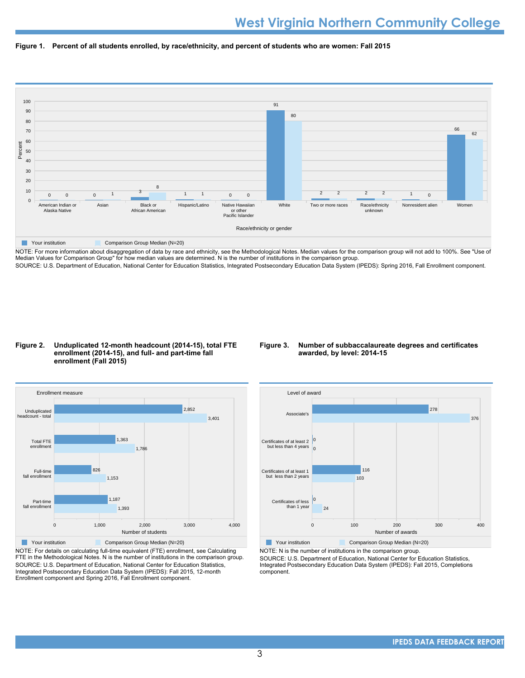



NOTE: For more information about disaggregation of data by race and ethnicity, see the Methodological Notes. Median values for the comparison group will not add to 100%. See "Use of Median Values for Comparison Group" for how median values are determined. N is the number of institutions in the comparison group. SOURCE: U.S. Department of Education, National Center for Education Statistics, Integrated Postsecondary Education Data System (IPEDS): Spring 2016, Fall Enrollment component.

### **Figure 2. Unduplicated 12-month headcount (2014-15), total FTE enrollment (2014-15), and full- and part-time fall enrollment (Fall 2015)**

## **Figure 3. Number of subbaccalaureate degrees and certificates awarded, by level: 2014-15**



NOTE: For details on calculating full-time equivalent (FTE) enrollment, see Calculating FTE in the Methodological Notes. N is the number of institutions in the comparison group. SOURCE: U.S. Department of Education, National Center for Education Statistics, Integrated Postsecondary Education Data System (IPEDS): Fall 2015, 12-month Enrollment component and Spring 2016, Fall Enrollment component.



**Your institution** Comparison Group Median (N=20) NOTE: N is the number of institutions in the comparison group.

SOURCE: U.S. Department of Education, National Center for Education Statistics, Integrated Postsecondary Education Data System (IPEDS): Fall 2015, Completions component.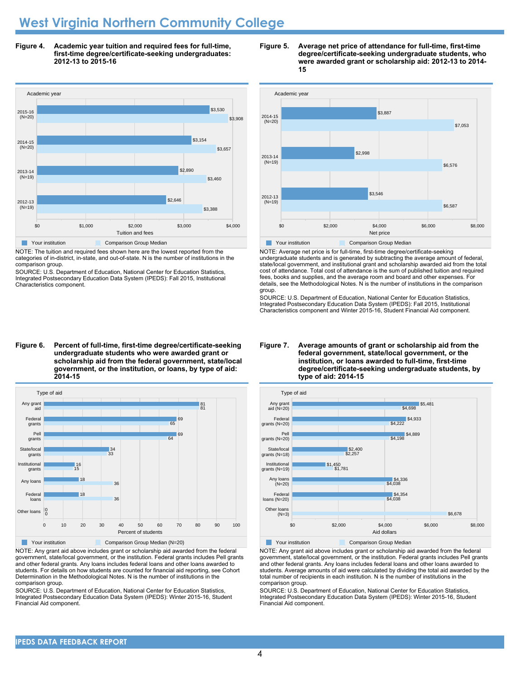## **West Virginia Northern Community College**

**Figure 4. Academic year tuition and required fees for full-time, first-time degree/certificate-seeking undergraduates: 2012-13 to 2015-16**



NOTE: The tuition and required fees shown here are the lowest reported from the categories of in-district, in-state, and out-of-state. N is the number of institutions in the comparison group.

SOURCE: U.S. Department of Education, National Center for Education Statistics, Integrated Postsecondary Education Data System (IPEDS): Fall 2015, Institutional Characteristics component.

### **Figure 6. Percent of full-time, first-time degree/certificate-seeking undergraduate students who were awarded grant or scholarship aid from the federal government, state/local government, or the institution, or loans, by type of aid: 2014-15**



NOTE: Any grant aid above includes grant or scholarship aid awarded from the federal government, state/local government, or the institution. Federal grants includes Pell grants and other federal grants. Any loans includes federal loans and other loans awarded to students. For details on how students are counted for financial aid reporting, see Cohort Determination in the Methodological Notes. N is the number of institutions in the comparison group.

SOURCE: U.S. Department of Education, National Center for Education Statistics, Integrated Postsecondary Education Data System (IPEDS): Winter 2015-16, Student Financial Aid component.





NOTE: Average net price is for full-time, first-time degree/certificate-seeking undergraduate students and is generated by subtracting the average amount of federal, state/local government, and institutional grant and scholarship awarded aid from the total cost of attendance. Total cost of attendance is the sum of published tuition and required fees, books and supplies, and the average room and board and other expenses. For details, see the Methodological Notes. N is the number of institutions in the comparison group.

SOURCE: U.S. Department of Education, National Center for Education Statistics, Integrated Postsecondary Education Data System (IPEDS): Fall 2015, Institutional Characteristics component and Winter 2015-16, Student Financial Aid component.





**Your institution** Comparison Group Median

NOTE: Any grant aid above includes grant or scholarship aid awarded from the federal government, state/local government, or the institution. Federal grants includes Pell grants and other federal grants. Any loans includes federal loans and other loans awarded to students. Average amounts of aid were calculated by dividing the total aid awarded by the total number of recipients in each institution. N is the number of institutions in the comparison group.

SOURCE: U.S. Department of Education, National Center for Education Statistics, Integrated Postsecondary Education Data System (IPEDS): Winter 2015-16, Student Financial Aid component.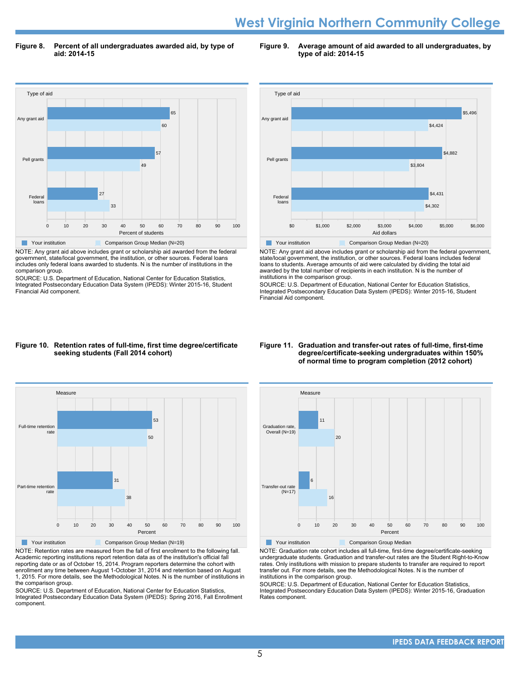## **West Virginia Northern Community College**

**Figure 8. Percent of all undergraduates awarded aid, by type of aid: 2014-15**

**Figure 9. Average amount of aid awarded to all undergraduates, by type of aid: 2014-15**



NOTE: Any grant aid above includes grant or scholarship aid awarded from the federal government, state/local government, the institution, or other sources. Federal loans includes only federal loans awarded to students. N is the number of institutions in the comparison group.

SOURCE: U.S. Department of Education, National Center for Education Statistics, Integrated Postsecondary Education Data System (IPEDS): Winter 2015-16, Student Financial Aid component.



NOTE: Any grant aid above includes grant or scholarship aid from the federal government, state/local government, the institution, or other sources. Federal loans includes federal loans to students. Average amounts of aid were calculated by dividing the total aid awarded by the total number of recipients in each institution. N is the number of institutions in the comparison group.

SOURCE: U.S. Department of Education, National Center for Education Statistics, Integrated Postsecondary Education Data System (IPEDS): Winter 2015-16, Student Financial Aid component.

### **Figure 10. Retention rates of full-time, first time degree/certificate seeking students (Fall 2014 cohort)**



NOTE: Retention rates are measured from the fall of first enrollment to the following fall. Academic reporting institutions report retention data as of the institution's official fall reporting date or as of October 15, 2014. Program reporters determine the cohort with enrollment any time between August 1-October 31, 2014 and retention based on August 1, 2015. For more details, see the Methodological Notes. N is the number of institutions in the comparison group.

SOURCE: U.S. Department of Education, National Center for Education Statistics, Integrated Postsecondary Education Data System (IPEDS): Spring 2016, Fall Enrollment component.

### **Figure 11. Graduation and transfer-out rates of full-time, first-time degree/certificate-seeking undergraduates within 150% of normal time to program completion (2012 cohort)**



NOTE: Graduation rate cohort includes all full-time, first-time degree/certificate-seeking undergraduate students. Graduation and transfer-out rates are the Student Right-to-Know rates. Only institutions with mission to prepare students to transfer are required to report transfer out. For more details, see the Methodological Notes. N is the number of institutions in the comparison group.

SOURCE: U.S. Department of Education, National Center for Education Statistics, Integrated Postsecondary Education Data System (IPEDS): Winter 2015-16, Graduation Rates component.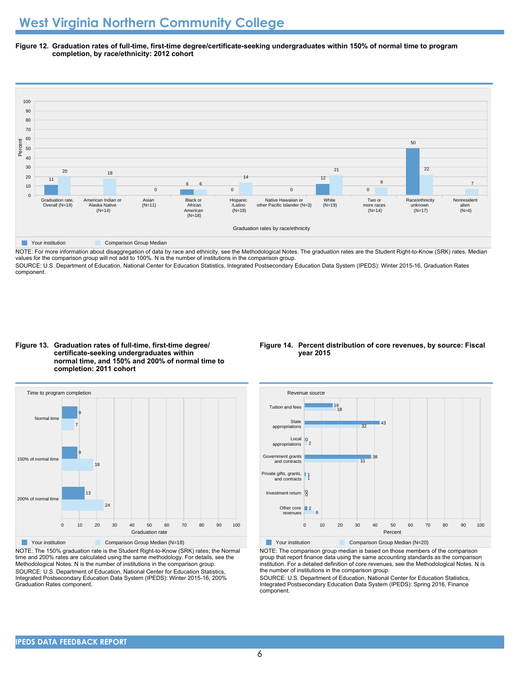**Figure 12. Graduation rates of full-time, first-time degree/certificate-seeking undergraduates within 150% of normal time to program completion, by race/ethnicity: 2012 cohort**



NOTE: For more information about disaggregation of data by race and ethnicity, see the Methodological Notes. The graduation rates are the Student Right-to-Know (SRK) rates. Median values for the comparison group will not add to 100%. N is the number of institutions in the comparison group.

SOURCE: U.S. Department of Education, National Center for Education Statistics, Integrated Postsecondary Education Data System (IPEDS): Winter 2015-16, Graduation Rates component.





NOTE: The 150% graduation rate is the Student Right-to-Know (SRK) rates; the Normal time and 200% rates are calculated using the same methodology. For details, see the Methodological Notes. N is the number of institutions in the comparison group. SOURCE: U.S. Department of Education, National Center for Education Statistics, Integrated Postsecondary Education Data System (IPEDS): Winter 2015-16, 200% Graduation Rates component.

### **Figure 14. Percent distribution of core revenues, by source: Fiscal year 2015**



NOTE: The comparison group median is based on those members of the comparison group that report finance data using the same accounting standards as the comparison institution. For a detailed definition of core revenues, see the Methodological Notes. N is the number of institutions in the comparison group.

SOURCE: U.S. Department of Education, National Center for Education Statistics, Integrated Postsecondary Education Data System (IPEDS): Spring 2016, Finance component.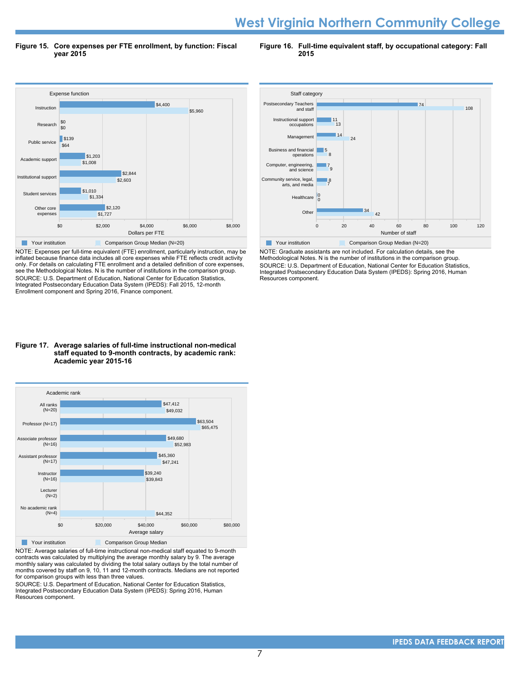## **West Virginia Northern Community College**

**Figure 15. Core expenses per FTE enrollment, by function: Fiscal year 2015**

**Figure 16. Full-time equivalent staff, by occupational category: Fall 2015**



NOTE: Expenses per full-time equivalent (FTE) enrollment, particularly instruction, may be inflated because finance data includes all core expenses while FTE reflects credit activity only. For details on calculating FTE enrollment and a detailed definition of core expenses, see the Methodological Notes. N is the number of institutions in the comparison group. SOURCE: U.S. Department of Education, National Center for Education Statistics, Integrated Postsecondary Education Data System (IPEDS): Fall 2015, 12-month Enrollment component and Spring 2016, Finance component.





NOTE: Average salaries of full-time instructional non-medical staff equated to 9-month contracts was calculated by multiplying the average monthly salary by 9. The average monthly salary was calculated by dividing the total salary outlays by the total number of months covered by staff on 9, 10, 11 and 12-month contracts. Medians are not reported for comparison groups with less than three values.

SOURCE: U.S. Department of Education, National Center for Education Statistics, Integrated Postsecondary Education Data System (IPEDS): Spring 2016, Human Resources component.



NOTE: Graduate assistants are not included. For calculation details, see the Methodological Notes. N is the number of institutions in the comparison group. SOURCE: U.S. Department of Education, National Center for Education Statistics, Integrated Postsecondary Education Data System (IPEDS): Spring 2016, Human Resources component.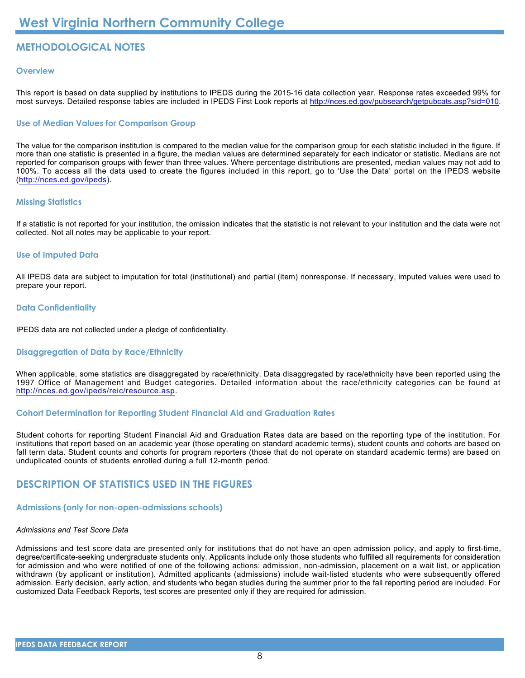## **METHODOLOGICAL NOTES**

## **Overview**

This report is based on data supplied by institutions to IPEDS during the 2015-16 data collection year. Response rates exceeded 99% for most surveys. Detailed response tables are included in IPEDS First Look reports at [http://nces.ed.gov/pubsearch/getpubcats.asp?sid=010.](http://nces.ed.gov/pubsearch/getpubcats.asp?sid=010)

## **Use of Median Values for Comparison Group**

The value for the comparison institution is compared to the median value for the comparison group for each statistic included in the figure. If more than one statistic is presented in a figure, the median values are determined separately for each indicator or statistic. Medians are not reported for comparison groups with fewer than three values. Where percentage distributions are presented, median values may not add to 100%. To access all the data used to create the figures included in this report, go to 'Use the Data' portal on the IPEDS website (<http://nces.ed.gov/ipeds>).

## **Missing Statistics**

If a statistic is not reported for your institution, the omission indicates that the statistic is not relevant to your institution and the data were not collected. Not all notes may be applicable to your report.

## **Use of Imputed Data**

All IPEDS data are subject to imputation for total (institutional) and partial (item) nonresponse. If necessary, imputed values were used to prepare your report.

## **Data Confidentiality**

IPEDS data are not collected under a pledge of confidentiality.

## **Disaggregation of Data by Race/Ethnicity**

When applicable, some statistics are disaggregated by race/ethnicity. Data disaggregated by race/ethnicity have been reported using the 1997 Office of Management and Budget categories. Detailed information about the race/ethnicity categories can be found at <http://nces.ed.gov/ipeds/reic/resource.asp>.

## **Cohort Determination for Reporting Student Financial Aid and Graduation Rates**

Student cohorts for reporting Student Financial Aid and Graduation Rates data are based on the reporting type of the institution. For institutions that report based on an academic year (those operating on standard academic terms), student counts and cohorts are based on fall term data. Student counts and cohorts for program reporters (those that do not operate on standard academic terms) are based on unduplicated counts of students enrolled during a full 12-month period.

## **DESCRIPTION OF STATISTICS USED IN THE FIGURES**

## **Admissions (only for non-open-admissions schools)**

## *Admissions and Test Score Data*

Admissions and test score data are presented only for institutions that do not have an open admission policy, and apply to first-time, degree/certificate-seeking undergraduate students only. Applicants include only those students who fulfilled all requirements for consideration for admission and who were notified of one of the following actions: admission, non-admission, placement on a wait list, or application withdrawn (by applicant or institution). Admitted applicants (admissions) include wait-listed students who were subsequently offered admission. Early decision, early action, and students who began studies during the summer prior to the fall reporting period are included. For customized Data Feedback Reports, test scores are presented only if they are required for admission.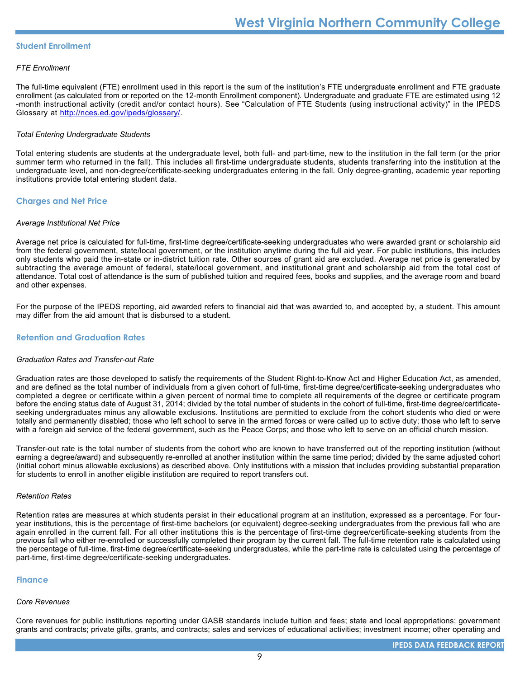## **Student Enrollment**

## *FTE Enrollment*

The full-time equivalent (FTE) enrollment used in this report is the sum of the institution's FTE undergraduate enrollment and FTE graduate enrollment (as calculated from or reported on the 12-month Enrollment component). Undergraduate and graduate FTE are estimated using 12 -month instructional activity (credit and/or contact hours). See "Calculation of FTE Students (using instructional activity)" in the IPEDS Glossary at <http://nces.ed.gov/ipeds/glossary/>.

## *Total Entering Undergraduate Students*

Total entering students are students at the undergraduate level, both full- and part-time, new to the institution in the fall term (or the prior summer term who returned in the fall). This includes all first-time undergraduate students, students transferring into the institution at the undergraduate level, and non-degree/certificate-seeking undergraduates entering in the fall. Only degree-granting, academic year reporting institutions provide total entering student data.

## **Charges and Net Price**

## *Average Institutional Net Price*

Average net price is calculated for full-time, first-time degree/certificate-seeking undergraduates who were awarded grant or scholarship aid from the federal government, state/local government, or the institution anytime during the full aid year. For public institutions, this includes only students who paid the in-state or in-district tuition rate. Other sources of grant aid are excluded. Average net price is generated by subtracting the average amount of federal, state/local government, and institutional grant and scholarship aid from the total cost of attendance. Total cost of attendance is the sum of published tuition and required fees, books and supplies, and the average room and board and other expenses.

For the purpose of the IPEDS reporting, aid awarded refers to financial aid that was awarded to, and accepted by, a student. This amount may differ from the aid amount that is disbursed to a student.

## **Retention and Graduation Rates**

## *Graduation Rates and Transfer-out Rate*

Graduation rates are those developed to satisfy the requirements of the Student Right-to-Know Act and Higher Education Act, as amended, and are defined as the total number of individuals from a given cohort of full-time, first-time degree/certificate-seeking undergraduates who completed a degree or certificate within a given percent of normal time to complete all requirements of the degree or certificate program before the ending status date of August 31, 2014; divided by the total number of students in the cohort of full-time, first-time degree/certificateseeking undergraduates minus any allowable exclusions. Institutions are permitted to exclude from the cohort students who died or were totally and permanently disabled; those who left school to serve in the armed forces or were called up to active duty; those who left to serve with a foreign aid service of the federal government, such as the Peace Corps; and those who left to serve on an official church mission.

Transfer-out rate is the total number of students from the cohort who are known to have transferred out of the reporting institution (without earning a degree/award) and subsequently re-enrolled at another institution within the same time period; divided by the same adjusted cohort (initial cohort minus allowable exclusions) as described above. Only institutions with a mission that includes providing substantial preparation for students to enroll in another eligible institution are required to report transfers out.

## *Retention Rates*

Retention rates are measures at which students persist in their educational program at an institution, expressed as a percentage. For fouryear institutions, this is the percentage of first-time bachelors (or equivalent) degree-seeking undergraduates from the previous fall who are again enrolled in the current fall. For all other institutions this is the percentage of first-time degree/certificate-seeking students from the previous fall who either re-enrolled or successfully completed their program by the current fall. The full-time retention rate is calculated using the percentage of full-time, first-time degree/certificate-seeking undergraduates, while the part-time rate is calculated using the percentage of part-time, first-time degree/certificate-seeking undergraduates.

## **Finance**

### *Core Revenues*

Core revenues for public institutions reporting under GASB standards include tuition and fees; state and local appropriations; government grants and contracts; private gifts, grants, and contracts; sales and services of educational activities; investment income; other operating and